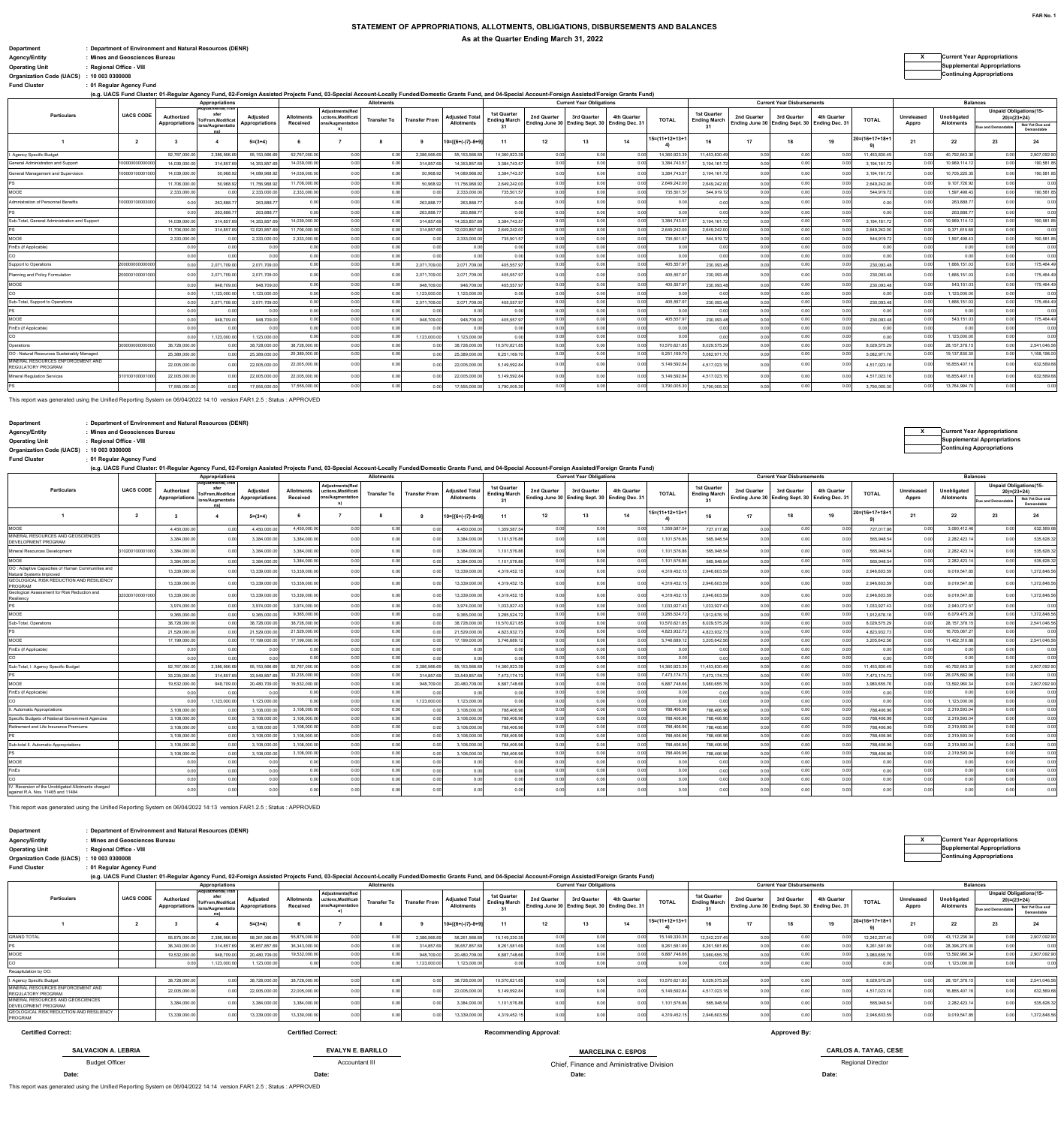### **STATEMENT OF APPROPRIATIONS, ALLOTMENTS, OBLIGATIONS, DISBURSEMENTS AND BALANCESAs at the Quarter Ending March 31, 2022**

**Department : Department of Environment and Natural Resources (DENR) Agency/Entity : Mines and Geosciences Bureau <sup>X</sup> Current Year Appropriations Operating Unit : Regional Office - VIII Supplemental Appropriations**

# **Organization Code (UACS) : 10 003 0300008 Continuing Appropriations**

| <b>Fund Cluster</b>                                                                                                                                                                                      | : 01 Regular Agency Fund |                       |                                  |                |                   |                        |                    |                      |                       |                                    |                                               |                                 |                            |                |                                    |             |                                               |                |                           |            |                   |                   |                               |
|----------------------------------------------------------------------------------------------------------------------------------------------------------------------------------------------------------|--------------------------|-----------------------|----------------------------------|----------------|-------------------|------------------------|--------------------|----------------------|-----------------------|------------------------------------|-----------------------------------------------|---------------------------------|----------------------------|----------------|------------------------------------|-------------|-----------------------------------------------|----------------|---------------------------|------------|-------------------|-------------------|-------------------------------|
| (e.g. UACS Fund Cluster: 01-Regular Agency Fund, 02-Foreign Assisted Projects Fund, 03-Special Account-Locally Funded/Domestic Grants Fund, and 04-Special Account-Foreign Assisted/Foreign Grants Fund) |                          |                       |                                  |                |                   |                        |                    |                      |                       |                                    |                                               |                                 |                            |                |                                    |             |                                               |                | <b>Balances</b>           |            |                   |                   |                               |
|                                                                                                                                                                                                          |                          |                       | Appropriations                   |                |                   | <b>Adiustments/Red</b> | <b>Allotments</b>  |                      |                       |                                    |                                               | <b>Current Year Obligations</b> |                            |                |                                    |             | <b>Current Year Disbursements</b>             |                |                           |            |                   |                   | <b>Unpaid Obligations(15-</b> |
| <b>Particulars</b>                                                                                                                                                                                       | <b>UACS CODE</b>         | Authorized            | sfer<br><b>To/From.Modificat</b> | Adjusted       | <b>Allotments</b> | uctions.Modificat      | <b>Transfer To</b> | <b>Transfer From</b> | <b>Adiusted Total</b> | 1st Quarter<br><b>Ending March</b> | 2nd Quarter                                   | 3rd Quarter                     | 4th Quarter                | <b>TOTAL</b>   | 1st Quarter<br><b>Ending March</b> | 2nd Quarter | 3rd Quarter                                   | 4th Quarter    | <b>TOTAL</b>              | Unreleased | Unobligated       |                   | $20 = (23 + 24)$              |
|                                                                                                                                                                                                          |                          | <b>Appropriations</b> | ions/Augmentatio                 | Appropriations | Received          | ons/Augmentation       |                    |                      | <b>Allotments</b>     | 31                                 | Ending June 30 Ending Sept. 30 Ending Dec. 31 |                                 |                            |                | 31                                 |             | Ending June 30 Ending Sept. 30 Ending Dec. 31 |                |                           | Appro      | <b>Allotments</b> | Due and Demandabl | Not Yet Due and<br>Demandable |
|                                                                                                                                                                                                          | $\overline{2}$           |                       |                                  | $5=(3+4)$      |                   |                        |                    |                      | $10=[{6+(-)}7]-8+9]$  | 11                                 | 12                                            | 13                              | 14                         | 15=(11+12+13+1 | 16                                 | 17          | 18                                            | 19             | $20 = (16 + 17 + 18 + 1)$ | 21         | 22                | 23                | 24                            |
| 1. Agency Specific Budget                                                                                                                                                                                |                          | 52,767,000.0          | 2,386,566.6                      | 55, 153, 566.  | 52.767.000.00     | 0.00                   | 0.00               | 2,386,566.6          | 55, 153, 566.69       | 14.360.923.3                       | 0.00                                          | 0.00                            | 0.00                       | 14.360.923.3   | 11,453,830.4                       | 0.00        | 0.00                                          | 0.00           | 11,453,830.4              | 0.00       | 40,792,643.30     | 0.00              | 2.907.092.90                  |
| <b>Seneral Administration and Support</b>                                                                                                                                                                | 000000000000             | 14,039,000.0          | 314,857.6                        | 14,353,857.    | 14,039,000.00     | 0.00                   | 0.00               | 314,857.             | 14,353,857.69         | 3,384,743.5                        | 0.00                                          | 0.00                            | 0.00                       | 3,384,743.5    | 3,194,161.7                        | 0.00        | 0.00                                          | 0.00           | 3,194,161.7               | 0.00       | 10,969,114.12     | 0.00              | 190,581.85                    |
| General Management and Supervision                                                                                                                                                                       | 10000010000100           | 14.039.000.00         | 50.968.92                        | 14.089.968.9   | 14.039.000.00     | 0.00                   | 0.00               | 50.968.92            | 14.089.968.92         | 3.384.743.5                        | 0.00                                          | 0.00                            |                            | 3.384.743.5    | 3.194.161.7                        | 0.00        |                                               | 0 <sub>0</sub> | 3.194.161.7               | 0.00       | 10.705.225.3      | 0.00              | 190.581.85                    |
|                                                                                                                                                                                                          |                          | 11,706,000.0          | 50.968.92                        | 11,756,968.9   | 11.706.000.00     | 0.00                   | 0.00               | 50.968.92            | 11,756,968.92         | 2.649.242.00                       | 0.00                                          | 0.00                            |                            | 2,649,242.0    | 2,649,242.00                       | 0.00        | 0.00                                          | 0.00           | 2.649.242.0               | 0.00       | 9,107,726.92      | 0.00              | 0.00                          |
| MOOE                                                                                                                                                                                                     |                          | 2,333,000.0           | 0.00                             | 2,333,000.0    | 2.333.000.00      | 0.00                   | 0.00               | 0.00                 | 2.333.000.00          | 735.501.5                          | 0.00                                          | 0.00                            | 0.00                       | 735,501.5      | 544.919.7                          | 0.00        | 0.00                                          | 0.00           | 544.919.7                 | 0.00       | 1.597.498.43      | 0.00              | 190.581.85                    |
| dmnistration of Personnel Benefits                                                                                                                                                                       | 10000010000300           |                       | 263.888.7                        | 263.888.7      | 0.00              | 0.00                   | 0.00               | 263.888.7            | 263,888.7             | 0.00                               | 0.00                                          | 0.00                            | 0 <sub>0</sub>             | 0 <sub>0</sub> | 0 <sub>0</sub>                     | 0.00        |                                               | 0.00           | 00                        | 0.00       | 263,888.7         | 0.00              | 0.00                          |
|                                                                                                                                                                                                          |                          | 0.00                  | 263,888.7                        | 263,888.7      | 0.00              | 0.00                   | 0.00               | 263,888.7            | 263.888.7             | 0.00                               | 0.00                                          | 0.00                            | 0.00                       | 0.00           | 0.00                               | 0.00        | 0.00                                          | 0.00           | 0.00                      | 0.00       | 263,888.7         | 0.00              | 0.00                          |
| Sub-Total, General Administration and Support                                                                                                                                                            |                          | 14,039,000.0          | 314,857.6                        | 14,353,857.    | 14.039.000.00     | 0.00                   | 0.00               | 314,857.6            | 14,353,857.69         | 3.384.743.57                       | 0.00                                          | 0.00                            | 0.00                       | 3,384,743.5    | 3,194,161.7                        | 0.00        | 0.00                                          | 0.00           | 3.194.161.7               | 0.00       | 10,969,114.1      | 0.00              | 190,581.85                    |
|                                                                                                                                                                                                          |                          | 11.706.000.0          | 314,857.6                        | 12.020.857.    | 11.706.000.00     | 0.00                   | 0.00               | 314.857.6            | 12.020.857.69         | 2.649.242.00                       | 0.00                                          | 0.00                            | 0.00                       | 2,649,242.00   | 2.649.242.00                       | 0.00        | 0.00                                          | 0.00           | 2.649.242.0               | 0.00       | 9.371.615.69      | 0.00              | 0.00                          |
| MOOE                                                                                                                                                                                                     |                          | 2,333,000.0           |                                  | 2,333,000.0    | 2.333.000.00      | 0.00                   | 0.00               | 0.00                 | 2,333,000.00          | 735,501.5                          | 0.00                                          | 0.00                            | 0 <sup>0<sup>o</sup></sup> | 735.501.5      | 544,919.7                          | 0.00        | 0.00                                          | 0.00           | 544,919.7                 | 0.00       | 1.597.498.43      | 0.00              | 190.581.85                    |
| inEx (if Applicable)                                                                                                                                                                                     |                          | 0.00                  |                                  | 0.00           | 0.00              | 0.00                   | 0.00               | 0.00                 | 0.00                  | 0.00                               | 0.00                                          | 0.00                            | 0.00                       | 0.00           | 0.00                               | 0.00        | 0.00                                          | 0.00           | 0.00                      | 0.00       | 0.00              | 0.00              | 0.00                          |
|                                                                                                                                                                                                          |                          | 0.00                  | 0.00                             | 0.00           | 0.00              | 0.00                   | 0.00               | 0.00                 | 0.00                  | 0.00                               | 0.00                                          | 0.00                            | 0.00                       | 0.00           | 0.00                               | 0.00        | 0.00                                          | 0.00           | 0.00                      | 0.00       | 0 <sub>0</sub>    | 0.00              | 0.00                          |
| upport to Operations                                                                                                                                                                                     | 2000000000000            | 0.00                  | 2,071,709.00                     | 2.071.709.00   | 0.00              | 0.00                   | 0.00               | 2.071.709.00         | 2.071.709.00          | 405.557.9                          | 0.00                                          | 0.00                            | 0.00                       | 405.557.9      | 230.093.4                          | 0.00        | 0.00                                          | 0.00           | 230.093.4                 | 0.00       | 1.666.151.03      | 0.00              | 175.464.49                    |
| Planning and Policy Formulation                                                                                                                                                                          | 20000010000100           |                       | 2,071,709.00                     | 2,071,709.00   | 0.00              | 0.00                   | 0.00               | 2.071.709.00         | 2,071,709.00          | 405.557.9                          | 0.00                                          | 0.00                            | 00                         | 405,557.9      | 230,093.4                          | 0.00        | 0 <sub>0</sub>                                |                | 230,093.4                 | 0.00       | 1,666,151.03      | 0.00              | 175,464.49                    |
| MOOE                                                                                                                                                                                                     |                          | 0.00                  | 948,709.0                        | 948,709.00     | 0.00              | 0.00                   | 0.00               | 948,709.00           | 948,709.00            | 405,557.9                          | 0.00                                          | 0.00                            | 0.00                       | 405,557.9      | 230,093.4                          | 0.00        | 0.00                                          | 0.00           | 230,093.48                | 0.00       | 543,151.03        | 0.00              | 175,464.49                    |
|                                                                                                                                                                                                          |                          | 0.00                  | 1.123.000.0                      | 1.123.000.00   | 0.00              | 0.00                   | 0.00               | 1.123.000.00         | 1.123.000.00          | 0.00                               | 0.00                                          | 0.00                            | 0.00                       | 0.00           | 0.00                               | 0.00        | 0.00                                          | 0.00           | 0.00                      | 0.00       | 1.123.000.00      | 0.00              | 0.00                          |
| Sub-Total, Support to Operations                                                                                                                                                                         |                          | 0.00                  | 2,071,709.00                     | 2.071.709.00   | 0.00              | 0.00                   | 0.00               | 2,071,709.00         | 2,071,709.00          | 405,557.9                          | 0.00                                          | 0.00                            | 0.00                       | 405.557.9      | 230.093.4                          | 0.00        | 0.00                                          | 0.00           | 230.093.4                 | 0.00       | 1.666.151.03      | 0.00              | 175.464.49                    |
|                                                                                                                                                                                                          |                          | 0.00                  |                                  | 0.00           | 0.00              | 0.00                   | 0.00               | 0.00                 | 0.00                  | 0.00                               | 0.00                                          | 0.00                            | 0.00                       | 0.01           | 0.00                               | 0.00        | 0.00                                          | 0.00           | 00                        | 0.00       | 0.0               | 0.00              | 0.00                          |
| MOOE                                                                                                                                                                                                     |                          | 0.00                  | 948,709.00                       | 948,709.00     | 0.00              | 0.00                   | 0.00               | 948,709.00           | 948,709.00            | 405.557.97                         | 0.00                                          | 0.00                            | 0.00                       | 405.557.9      | 230,093.4                          | 0.00        | 0.00                                          | 0.00           | 230.093.48                | 0.00       | 543,151.03        | 0.00              | 175.464.49                    |
| inEx (if Applicable)                                                                                                                                                                                     |                          | 0.00                  | 0.00                             | 0.00           | 0.00              | 0.00                   | 0.00               | 0.00                 | 0.00                  | 0.00                               | 0.00                                          | 0.00                            | 0.00                       | 0.00           | 0.00                               | 0.00        | 0.00                                          | 0.00           | 0.00                      | 0.00       | 000               | 0.00              | 0.00                          |
|                                                                                                                                                                                                          |                          |                       | 1.123.000.0                      | 1.123.000.0    | 0.00              | 0.00                   | 0.00               | 1,123,000.00         | 1.123.000.00          | 0.00                               | 0.00                                          | 0.00                            | 0.00                       | 0 <sub>0</sub> | 0.00                               | 0.00        | 0 <sub>0</sub>                                | 0.00           | 0.00                      | 0.00       | 1,123,000.0       | 0.00              | 0.00                          |
| Operations                                                                                                                                                                                               | 300000000000             | 38,728,000.0          |                                  | 38,728,000.0   | 38.728.000.00     | 0.00                   | 0.00               | 0.00                 | 38,728,000.00         | 10,570,621.8                       | 0.00                                          | 0.00                            | 0.00                       | 10,570,621.8   | 8,029,575.29                       | 0.00        | 0.00                                          | 0.00           | 8,029,575.2               | 0.00       | 28, 157, 378.1    | 0.00              | 2.541.046.56                  |
| OO: Natural Resources Sustainably Managed                                                                                                                                                                |                          | 25,389,000.0          | 0.00                             | 25.389.000.0   | 25,389,000.0      | 0.00                   | 0.00               | 0.00                 | 25,389,000.00         | 6,251,169.7                        | 0.00                                          | 0.00                            |                            | 6,251,169.     | 5,082,971.7                        | 0.00        | 0.00                                          | 0.00           | 5,082,971.                | 0.00       | 19,137,830.3      | 0.00              | 1,168,198.00                  |
| MINERAL RESOURCES ENFORCEMENT AND<br><b>REGULATORY PROGRAM</b>                                                                                                                                           |                          | 22,005,000.00         |                                  | 22,005,000.0   | 22.005.000.00     | 0.00                   | 0.01               | 0.00                 | 22,005,000.00         | 5,149,592.8                        | 0.00                                          | 0.00                            |                            | 5,149,592.8    | 4,517,023.1                        | 0.00        |                                               |                | 4,517,023.1               | 0.0        | 16,855,407.1      | 0.00              | 632,569.68                    |
| Mineral Regulation Services                                                                                                                                                                              | 310100100001000          | 22,005,000.00         |                                  | 22,005,000.0   | 22,005,000.00     | 0.00                   | 0.00               |                      | 22,005,000.00         | 5,149,592.8                        |                                               |                                 |                            | 5,149,592.8    | 4,517,023.1                        |             |                                               |                | 4,517,023.1               |            | 16.855.407.1      | 0.00              | 632,569.68                    |

17,555,000.00 0.00 17,555,000.00 0.00 17,555,000.00 3,790,005.30 3,790,005.30 0.00 3,790,005.30

17,555,000.00 0.00 0.00 0.00 0.00 0.00 3,790,005.30 0.00 0.00 0.00 13,764,994.70 0.00 0.00

This report was generated using the Unified Reporting System on 06/04/2022 14:10 version.FAR1.2.5 ; Status : APPROVED

# **Department : Department of Environment and Natural Resources (DENR)**

| . . <b>.</b>         |  |
|----------------------|--|
| <b>\gency/Entity</b> |  |

PS

| perating Unit | : Regional Office - |
|---------------|---------------------|
| 1.0001        | . 40.002.00000      |

## **:Fund Cluster 01 Regular Agency Fund**

|                                                                                          |                  |                       | Appropriations                                |                       |                   |                                       | <b>Allotments</b>  |                      |                      |                                    |             | <b>Current Year Obligations</b>               |             |                |                                    |                                               | <b>Current Year Disbursements</b> |                |                |            |                   | <b>Balances</b> |                                                   |
|------------------------------------------------------------------------------------------|------------------|-----------------------|-----------------------------------------------|-----------------------|-------------------|---------------------------------------|--------------------|----------------------|----------------------|------------------------------------|-------------|-----------------------------------------------|-------------|----------------|------------------------------------|-----------------------------------------------|-----------------------------------|----------------|----------------|------------|-------------------|-----------------|---------------------------------------------------|
| <b>Particulars</b>                                                                       | <b>UACS CODE</b> | Authorized            | Adiustmentsi Irai<br>sfer<br>o/From.Modificat | Adiusted              | <b>Allotments</b> | Adiustments(Red<br>uctions.Modificati | <b>Transfer To</b> | <b>Transfer From</b> | <b>Adiusted Tota</b> | 1st Quarter<br><b>Ending March</b> | 2nd Quarter | 3rd Quarter                                   | 4th Quarter | <b>TOTAL</b>   | 1st Quarter<br><b>Ending March</b> | 2nd Quarter                                   | 3rd Quarter                       | 4th Quarter    | <b>TOTAL</b>   | Unreleased | Unobligated       |                 | <b>Unpaid Obligations(15-</b><br>$20 = (23 + 24)$ |
|                                                                                          |                  | <b>Appropriations</b> | ions/Augmentatio                              | <b>Appropriations</b> | Received          | ns/Augmentation<br>S)                 |                    |                      | <b>Allotments</b>    | 31                                 |             | Ending June 30 Ending Sept. 30 Ending Dec. 31 |             |                | 31                                 | Ending June 30 Ending Sept. 30 Ending Dec. 31 |                                   |                |                | Appro      | <b>Allotments</b> | Due and Demanda | Not Yet Due and<br>Demandable                     |
|                                                                                          | 2                | $\mathbf{3}$          | $\boldsymbol{4}$                              | $5=(3+4)$             |                   | 7                                     | -8                 | 9                    | 10=[{6+(-)7}-8+9]    | 11                                 | 12          | 13                                            | 14          | 15=(11+12+13+1 | 16                                 | 17                                            | 18                                | 19             | 20=(16+17+18+1 | 21         | 22                | 23              | 24                                                |
| MOOE                                                                                     |                  | 4.450.000.0           | 0.00                                          | 4.450.000.0           | 4.450.000.00      | 0.00                                  | 0.00               | 0.00                 | 4.450.000.0          | 1.359.587.54                       | 0.00        | 0.00                                          | 0.00        | 1,359,587.5    | 727.017.86                         | 0.00                                          | 0.00                              | 0.0            | 727.017.8      | 0.00       | 3.090.412.46      | 0.00            | 632.569.68                                        |
| MINERAL RESOURCES AND GEOSCIENCES<br>DEVELOPMENT PROGRAM                                 |                  | 3.384.000.0           |                                               | 3.384.000.0           | 3.384.000.0       | 0.00                                  | 0.00               | 0.00                 | 3.384.000.0          | 1.101.576.86                       | 00          | 0.00                                          |             | 1,101,576.8    | 565,948.54                         | 0.00                                          | 0.00                              |                | 565.948.5      | 0.00       | 2,282,423.14      | 0.00            | 535.628.32                                        |
| Mineral Resources Development                                                            | 10200100001000   | 3.384.000.0           |                                               | 3.384.000.0           | 3,384,000.00      | 0.00                                  | 0.00               | 0.00                 | 3.384.000.0          | 1.101.576.86                       | 0.00        | 0.00                                          | 0.00        | 1,101,576.86   | 565,948.54                         | 0.00                                          | 0.00                              | 0.0            | 565.948.54     | 0.00       | 2,282,423.14      | 0.00            | 535.628.32                                        |
| MOOE                                                                                     |                  | 3,384,000             | 0.00                                          | 3,384,000.0           | 3.384.000.00      | 0.00                                  | 0.00               | 0.00                 | 3.384.000.0          | 1.101.576.86                       | 0.00        | 0.00                                          | 0.00        | 1,101,576.8    | 565.948.5                          | 0.00                                          | 0.00                              | 0.00           | 565.948.54     | 0.00       | 2.282.423.14      | 0.00            | 535.628.32                                        |
| OO : Adaptive Capacities of Human Communities and<br>Natural Systems Improved            |                  | 13,339,000.0          | 0 <sub>0</sub>                                | 13.339.000.0          | 13.339.000.00     | 0.00                                  | 0.00               | 0.00                 | 13,339,000.0         | 4.319.452.15                       | 00          | 0.00                                          |             | 4,319,452.1    | 2.946.603.5                        | 0.00                                          |                                   |                | 2.946.603.5    | 0.00       | 9,019,547.85      | 0.00            | 1,372,848.56                                      |
| GEOLOGICAL RISK REDUCTION AND RESILIENCY<br>PROGRAM                                      |                  | 13,339,000.0          | 0.00                                          | 13.339.000.0          | 13.339.000.00     | 0.00                                  | 0.00               | 0.00                 | 13,339,000.0         | 4.319.452.15                       | 0.00        | 0.00                                          | 0.00        | 4,319,452.1    | 2,946,603.5                        | 0.00                                          | 0.00                              | 0 <sup>0</sup> | 2,946,603.5    | 0.00       | 9.019.547.85      | 0.00            | 1.372.848.56                                      |
| Geological Assessment for Risk Reduction and<br>Resiliency                               | 320300100001000  | 13,339,000.0          |                                               | 13,339,000.0          | 13.339.000.00     | 0.00                                  | 0.00               | 0.00                 | 13,339,000.0         | 4.319.452.15                       | 0.00        | 0.00                                          | 0.00        | 4.319.452.1    | 2,946,603.5                        | 0.00                                          | 0.00                              | 0.0            | 2,946,603.5    | 0.00       | 9.019.547.85      | 0.00            | 1.372.848.56                                      |
| PS                                                                                       |                  | 3.974.000.0           | 0.00                                          | 3.974.000.0           | 3.974.000.00      | 0.00                                  | 0.00               | 0.00                 | 3.974.000.0          | 1.033.927.43                       | 0.00        | 0.00                                          | 0.00        | 1,033,927.4    | 1.033.927.4                        | 0.00                                          | 0.00                              | 00             | 1.033.927.4    | 0.00       | 2.940.072.57      | 0.00            | 0.00                                              |
| MOOE                                                                                     |                  | 9.365.000.0           | 0.00                                          | 9.365.000.0           | 9.365.000.00      | 0.00                                  | 0.00               | 0.00                 | 9.365.000.0          | 3.285.524.72                       | 0.00        | 0.00                                          | 0.00        | 3.285.524.7    | 1.912.676.1                        | 0.00                                          | 0.00                              | 0.0            | 1.912.676.1    | 0.00       | 6.079.475.28      | 0.00            | 1.372.848.56                                      |
| Sub-Total, Operations                                                                    |                  | 38,728,000.0          |                                               | 38,728,000.0          | 38.728.000.00     | 0.00                                  | 0.00               | 0.00                 | 38,728,000.0         | 10.570.621.85                      | 0.00        | 0.00                                          | 0.00        | 10.570.621.8   | 8.029.575.2                        | 0.00                                          | 0.00                              | 0.00           | 8.029.575.2    | 0.00       | 28.157.378.15     | 0.00            | 2.541.046.56                                      |
|                                                                                          |                  | 21.529.000            | 0.00                                          | 21.529.000.0          | 21.529.000.00     | 0.00                                  | 0.00               | 0.00                 | 21.529.000.0         | 4.823.932.73                       | 0.00        | 0.00                                          | 0.00        | 4.823.932.7    | 4.823.932.7                        | 0.00                                          | 0.00                              | 0.0            | 4.823.932.7    | 0.00       | 16.705.067.27     | 0.00            | 0.00                                              |
| MOOE                                                                                     |                  | 17.199.000.0          | 0.00                                          | 17.199.000.0          | 17.199.000.00     | 0.00                                  | 0.00               | 0.00                 | 17.199.000.0         | 5.746.689.12                       | 0.00        | 0.00                                          | 0.00        | 5.746.689.1    | 3.205.642.5                        | 0.00                                          | 0.00                              | 0.0            | 3.205.642.56   | 0.00       | 11.452.310.88     | 0.00            | 2.541.046.56                                      |
| FinEx (if Applicable)                                                                    |                  | 0.00                  | 0.00                                          | 0.00                  | 0.00              | 0.00                                  | 0.00               | 0.00                 | 0.00                 | 0.00                               | 0.00        | 0.00                                          | 0.00        | 0.00           | 0.00                               | 0.00                                          | 0.00                              | 0.00           | 0.00           | 0.00       | 0.00              | 0.00            | 0.00                                              |
| co                                                                                       |                  | 0.00                  | 0.00                                          | 0.00                  | 0.00              | 0.00                                  | 0.00               | 0.00                 | 0.00                 | 0.00                               | 0.00        | 0.00                                          | 0.00        | 0.00           | 0.00                               | 0.00                                          | 0.00                              | 0.00           | 0.00           | 0.00       | 0.00              | 0.00            | 0.00                                              |
| Sub-Total, I. Agency Specific Budget                                                     |                  | 52,767,000.0          | 2.386.566.6                                   | 55.153.566.6          | 52,767,000.00     | 0.00                                  | 0.00               | 2,386,566.69         | 55.153.566.6         | 14.360.923.39                      | 0.00        | 0.00                                          | 0.00        | 14,360,923.39  | 11.453.830.49                      | 0.00                                          | 0.00                              | 0.00           | 11,453,830.49  | 0.00       | 40,792,643.30     | 0.00            | 2,907,092.90                                      |
| PS                                                                                       |                  | 33.235.000            | 314.857.                                      | 33.549.857.6          | 33.235.000.0      | 0.00                                  | 0.00               | 314,857.69           | 33.549.857.6         | 7.473.174.73                       | 0.00        | 0.00                                          | 0.00        | 7.473.174.7    | 7.473.174.7                        | 0.00                                          | 0.00                              | 0.0            | 7.473.174.7    | 0.00       | 26.076.682.96     | 0.00            | 0.00                                              |
| MOOE                                                                                     |                  | 19,532,000.0          | 948,709.00                                    | 20.480.709.0          | 19.532.000.00     | 0.00                                  | 0.00               | 948.709.00           | 20.480.709.0         | 6.887.748.66                       | 0.00        | 0.00                                          | 0.00        | 6.887.748.66   | 3.980.655.7                        | 0.00                                          | 0.00                              | 0.00           | 3.980.655.7    | 0.00       | 13.592.960.34     | 0.00            | 2.907.092.90                                      |
| FinEx (if Applicable)                                                                    |                  | 0.00                  | 0.00                                          | 0.0                   | 0.00              | 0.00                                  | 0.00               | 0.00                 | 0.00                 | 0.00                               | 0.00        | 0.00                                          | 0.00        | 0.00           | 0.00                               | 0.00                                          | 0.00                              | 0.00           | 0.00           | 0.00       | 0.00              | 0.00            | 0.00                                              |
| CO                                                                                       |                  | 00                    | 1.123.000.0                                   | 1.123.000.0           | 0.00              | 0.00                                  | 0.00               | 1.123.000.00         | 1.123.000.0          | 0.00                               | 0.00        | 0.00                                          | 0.00        | 0.00           | 0.00                               | 0.00                                          | 0.00                              | 0.00           | 0.00           | 0.00       | 1.123.000.00      | 0.00            | 0.00                                              |
| II. Automatic Appropriations                                                             |                  | 3,108,000.0           | 0.00                                          | 3,108,000.0           | 3.108.000.00      | 0.00                                  | 0.00               | 0.00                 | 3,108,000.0          | 788.406.96                         | 0.00        | 0.00                                          | 0.00        | 788.406.96     | 788,406.9                          | 0.00                                          | 0.00                              | 0.00           | 788,406.96     | 0.00       | 2.319.593.04      | 0.00            | 0.00                                              |
| Specific Budgets of National Government Agencies                                         |                  | 3.108.000.0           | 0.00                                          | 3,108,000.0           | 3.108.000.00      | 0.00                                  | 0.00               | 0.00                 | 3.108.000.0          | 788.406.96                         | 0.00        | 0.00                                          | 0.00        | 788,406.96     | 788.406.96                         | 0.00                                          | 0.00                              | 0.00           | 788,406.96     | 0.00       | 2.319.593.04      | 0.00            | 0.00                                              |
| Retirement and Life Insurance Premiums                                                   |                  | 3.108.000.0           | 0.00                                          | 3,108,000.0           | 3.108.000.00      | 0.00                                  | 0.00               | 0.00                 | 3.108.000.0          | 788.406.96                         | 0.00        | 0.00                                          | 0.00        | 788,406.96     | 788.406.96                         | 0.00                                          | 0.00                              | 00             | 788,406.96     | 0.00       | 2,319,593.04      | 0.00            | 0.00                                              |
| PS                                                                                       |                  | 3,108,000.0           | 0.00                                          | 3.108.000.0           | 3.108.000.00      | 0.00                                  | 0.00               | 0.00                 | 3,108,000.0          | 788.406.96                         | 0.00        | 0.00                                          | 0.00        | 788,406.96     | 788.406.96                         | 0.00                                          | 0.00                              | 0.00           | 788,406.96     | 0.00       | 2.319.593.04      | 0.00            | 0.00                                              |
| Sub-total II. Automatic Appropriations                                                   |                  | 3.108.000.0           | 0.00                                          | 3.108.000.0           | 3.108.000.00      | 0.00                                  | 0.00               | 0.00                 | 3.108.000.0          | 788.406.96                         | 0.00        | 0.00                                          | 0.00        | 788,406.96     | 788.406.96                         | 0.00                                          | 0.00                              | 0.00           | 788.406.96     | 0.00       | 2.319.593.04      | 0.00            | 0.00                                              |
| pę                                                                                       |                  | 3.108.000.0           | 0.00                                          | 3.108.000.0           | 3.108.000.00      | 0.00                                  | 0.00               | 0.00                 | 3,108,000.0          | 788.406.96                         | 0.00        | 0.00                                          | 0.00        | 788,406.96     | 788.406.96                         | 0.00                                          | 0.00                              | 0.00           | 788,406.96     | 0.00       | 2.319.593.04      | 0.00            | 0.00                                              |
| MOOE                                                                                     |                  | 0.00                  | 0.00                                          | 0.00                  | 0.00              | 0.00                                  | 0.00               | 0.00                 | 0.00                 | 0.00                               | 0.00        | 0.00                                          | 0.00        | 0.00           | 0.00                               | 0.00                                          | 0.00                              | 0.00           | 0.00           | 0.00       | 0.00              | 0.00            | 0.00                                              |
| FinEx                                                                                    |                  | 0.0                   | 0.00                                          | 0.00                  | 0.00              | 0.00                                  | 0.00               | 0.00                 | 0.00                 | 0.00                               | 0.00        | 0.00                                          | 0.00        | 0.00           | 0.00                               | 0.00                                          | 0.00                              | 0.00           | 0.00           | 0.00       | 0.00              | 0.00            | 0.00                                              |
| CO                                                                                       |                  | 0.00                  | 0.00                                          | 0.00                  | 0.00              | 0.00                                  | 0.00               | 0.00                 | 0.00                 | 0.00                               | 0.00        | 0.00                                          | 0.00        | 0.00           | 0.00                               | 0.00                                          | 0.00                              | 0.00           | 0.00           | 0.00       | 0.00              | 0.00            | 0.00                                              |
| IV. Reversion of the Unobligated Allotments charged<br>against R.A. Nos. 11465 and 11494 |                  | 0 <sub>0</sub>        | 0.00                                          | 0.00                  | 0.00              | 0.00                                  | 0.00               | 0.00                 | 0.00                 | 0.00                               |             | 0.00                                          | 0.00        | 0.00           | 0.00                               | 0.00                                          |                                   | 0.00           | 0.00           | 0.00       | 0.00              | 0.00            | 0.00                                              |

### This report was generated using the Unified Reporting System on 06/04/2022 14:13 version.FAR1.2.5 ; Status : APPROVED

0.00 0.00 0.00

| <b>Department</b>                  |                          |                                |               | : Department of Environment and Natural Resources (DENR) |                  |                |                                        |                   |                           |                       |                                    |             |                                                                                                                                                                                                          |                                               |                |                                    |             |                                   |                                               |                           |            |                 |                                                    |                    |                               |
|------------------------------------|--------------------------|--------------------------------|---------------|----------------------------------------------------------|------------------|----------------|----------------------------------------|-------------------|---------------------------|-----------------------|------------------------------------|-------------|----------------------------------------------------------------------------------------------------------------------------------------------------------------------------------------------------------|-----------------------------------------------|----------------|------------------------------------|-------------|-----------------------------------|-----------------------------------------------|---------------------------|------------|-----------------|----------------------------------------------------|--------------------|-------------------------------|
| <b>Agency/Entity</b>               |                          | : Mines and Geosciences Bureau |               |                                                          |                  |                |                                        |                   |                           |                       |                                    |             |                                                                                                                                                                                                          |                                               |                |                                    |             |                                   |                                               |                           |            |                 | <b>Current Year Appropriations</b>                 |                    |                               |
| <b>Operating Unit</b>              | : Regional Office - VIII |                                |               |                                                          |                  |                |                                        |                   |                           |                       |                                    |             |                                                                                                                                                                                                          |                                               |                |                                    |             |                                   |                                               |                           |            |                 | <b>Supplemental Appropriations</b>                 |                    |                               |
| <b>Organization Code (UACS)</b>    | 10 003 0300008           |                                |               |                                                          |                  |                |                                        |                   |                           |                       |                                    |             |                                                                                                                                                                                                          |                                               |                |                                    |             |                                   |                                               |                           |            |                 | <b>Continuing Appropriations</b>                   |                    |                               |
| <b>Fund Cluster</b>                |                          | : 01 Regular Agency Fund       |               |                                                          |                  |                |                                        |                   |                           |                       |                                    |             |                                                                                                                                                                                                          |                                               |                |                                    |             |                                   |                                               |                           |            |                 |                                                    |                    |                               |
|                                    |                          |                                |               |                                                          |                  |                |                                        |                   |                           |                       |                                    |             | (e.g. UACS Fund Cluster: 01-Regular Agency Fund, 02-Foreign Assisted Projects Fund, 03-Special Account-Locally Funded/Domestic Grants Fund, and 04-Special Account-Foreign Assisted/Foreign Grants Fund) |                                               |                |                                    |             |                                   |                                               |                           |            |                 |                                                    |                    |                               |
|                                    |                          |                                |               | <b>Appropriations</b>                                    |                  |                |                                        | <b>Allotments</b> |                           |                       |                                    |             | <b>Current Year Obligations</b>                                                                                                                                                                          |                                               |                |                                    |             | <b>Current Year Disbursements</b> |                                               |                           |            |                 | <b>Balances</b>                                    |                    |                               |
| <b>Particulars</b>                 |                          | <b>UACS CODE</b>               | Authorized    | sfer<br>To/From, Modificat                               | Adjusted         | Allotments     | Adiustments(Red<br>uctions, Modificati |                   | Transfer To Transfer From | <b>Adjusted Total</b> | 1st Quarter<br><b>Ending March</b> | 2nd Quarter | 3rd Quarter                                                                                                                                                                                              | 4th Quarter                                   | <b>TOTAL</b>   | 1st Quarter<br><b>Ending March</b> | 2nd Quarter | 3rd Quarter                       | 4th Quarter                                   | <b>TOTAL</b>              | Unreleased | Unobligated     | <b>Unpaid Obligations(15-</b><br>$20) = (23 + 24)$ |                    |                               |
|                                    |                          |                                |               | <b>Appropriations</b>                                    | ions/Augmentatio | Appropriations | Received                               | ons/Augmentation  |                           |                       | <b>Allotments</b>                  |             |                                                                                                                                                                                                          | Ending June 30 Ending Sept. 30 Ending Dec. 31 |                |                                    |             |                                   | Ending June 30 Ending Sept. 30 Ending Dec. 31 |                           |            | Appro           | <b>Allotments</b>                                  | Due and Demandable | Not Yet Due and<br>Demandable |
|                                    |                          |                                |               |                                                          | $5=(3+4)$        |                |                                        |                   |                           | $10=[(6+(-17)-8+9)]$  | 11                                 |             | 13                                                                                                                                                                                                       | 14                                            | 15=(11+12+13+1 |                                    | 17          |                                   |                                               | $20 = (16 + 17 + 18 + 1)$ |            | 22              | 23                                                 | 24                 |                               |
| <b>GRAND TOTAL</b>                 |                          |                                | 55,875,000.00 | 2.386.566.6                                              | 58,261,566.69    | 55,875,000.00  |                                        | 0.00              | 2,386,566.69              | 58,261,566.69         | 15.149.330.35                      |             |                                                                                                                                                                                                          |                                               | 15, 149, 330.3 | 12.242.237.45                      |             |                                   |                                               | 12,242,237.45             | 0.00       | 43, 112, 236.34 | 0.00                                               | 2,907,092.90       |                               |
|                                    |                          |                                | 36,343,000.0  | 314,857.6                                                | 36.657.857.6     | 36.343.000.00  |                                        |                   | 314,857.69                | 36,657,857.6          | 8.261.581.69                       |             |                                                                                                                                                                                                          |                                               | 8.261.581.     | 8.261.581.6                        |             |                                   |                                               | 8.261.581.6               |            | 28,396,276.00   |                                                    | 0.00               |                               |
| <b>MOOF</b>                        |                          |                                | 19,532,000.0  | 948,709.0                                                | 20,480,709.00    | 19,532,000.00  |                                        |                   | 948,709.00                | 20.480.709.00         | 6.887.748.66                       |             |                                                                                                                                                                                                          |                                               | 6,887,748.6    | 3.980.655.7                        |             |                                   |                                               | 3.980.655.7               |            | 13,592,960.3    |                                                    | 2,907,092.90       |                               |
|                                    |                          |                                |               | 1,123,000.0                                              | 1,123,000.0      |                |                                        |                   | 1,123,000.00              | 1,123,000.00          |                                    |             |                                                                                                                                                                                                          |                                               |                |                                    |             |                                   |                                               |                           |            | 1,123,000.0     |                                                    | 0.00               |                               |
| Recapitulation by OO:              |                          |                                |               |                                                          |                  |                |                                        |                   |                           |                       |                                    |             |                                                                                                                                                                                                          |                                               |                |                                    |             |                                   |                                               |                           |            |                 |                                                    |                    |                               |
| . Agency Specific Budget           |                          |                                | 38,728,000.00 |                                                          | 38,728,000.00    | 38,728,000.00  |                                        |                   | 0.00                      | 38,728,000.00         | 10,570,621.85                      |             |                                                                                                                                                                                                          |                                               | 10,570,621.8   | 8.029.575.29                       |             |                                   |                                               | 8,029,575.29              | 0.00       | 28, 157, 378.15 |                                                    | 2,541,046.56       |                               |
| MINERAL RESOLIRCES ENFORCEMENT AND |                          |                                |               |                                                          |                  |                |                                        |                   |                           |                       |                                    |             |                                                                                                                                                                                                          |                                               |                |                                    |             |                                   |                                               |                           |            |                 |                                                    |                    |                               |

#### 0.00 0.00 0.00 4,319,452.15 0.00 0.00 0.00 9,019,547.85 0.00 1,372,848.56 GEOLOGICAL RISK REDUCTION AND RESILIENCY PROGRAM 13,339,000.00 0.00 0.00 **Certified Correct:**

**SALVACION A. LEBRIA**

REGULATORY PROGRAM

| <b>Certified Correct:</b> | <b>Recommending Approval:</b> | <b>Approved By</b> |
|---------------------------|-------------------------------|--------------------|
|                           |                               |                    |

# **EVALYN E. BARILLO**

22,005,000.00 0.00 22,005,000.00 0.000 0.000 0.000 0.000 22,005,000.00 5,149,592.84 0.000 0.000 0.000 0.000 0.000 0.000 0.000 0.517,023.16 3,384,000.00 0.00 3,384,000.00 0.00 3,384,000.00 1,101,576.86 565,948.54 0.00 565,948.54 13,339,000.00 0.00 13,339,000.00 0.00 13,339,000.00 4,319,452.15 2,946,603.59 0.00 2,946,603.59

0.00 0.00 0.00 1,101,576.86 0.00 0.00 0.00 2,282,423.14 0.00 535,628.32 MINERAL RESOURCES AND GEOSCIENCES DEVELOPMENT PROGRAM

M 22,005,000.00 0.00 22,005,000.00 0.00 0.00 0.00 0.00 0.000 0.000 0.000 0.000 0.000 0.000 0.000 0.000 0.000 0.000 0.000 0.000 0.000 0.000 0.000 0.000 0.000 0.000 0.000 0.000 0.000 0.000 0.000 0.000 0.000 0.000 0.000 0.000

**MARCELINA C. ESPOS**

**CARLOS A. TAYAG, CESE**

Regional Director<br>Date:

|       | :countant | Finance and Aministrative Division |      |
|-------|-----------|------------------------------------|------|
| Date: | Date:     | Date:                              | Date |

3,384,000.00 0.00 0.00

This report was generated using the Unified Reporting System on 06/04/2022 14:14 version.FAR1.2.5 ; Status : APPROVED

**FAR No. 1**

**Agency/Entity : Mines and Geosciences Bureau Current Year Appropriations Operating Unit : Regional Office - VIII Supplemental Appropriations Organization Code (UACS) : 10 003 0300008 Continuing Appropriations**

# **X**

> 2,541,046.56632,569.68